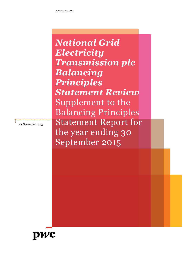*National Grid Electricity Transmission plc Balancing Principles Statement Review* Supplement to the Balancing Principles Statement Report for the year ending 30 September 2015

*14 December 2015*

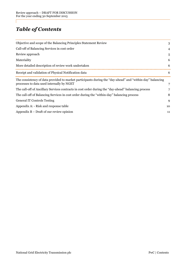# *Table of Contents*

| Objective and scope of the Balancing Principles Statement Review                                                                                       | 3  |
|--------------------------------------------------------------------------------------------------------------------------------------------------------|----|
| Call-off of Balancing Services in cost order                                                                                                           | 4  |
| Review approach                                                                                                                                        | 5  |
| Materiality                                                                                                                                            | 6  |
| More detailed description of review work undertaken                                                                                                    | 6  |
| Receipt and validation of Physical Notification data                                                                                                   | 6  |
| The consistency of data provided to market participants during the "day-ahead" and "within-day" balancing<br>processes to data used internally by NGET | 7  |
| The call-off of Ancillary Services contracts in cost order during the "day-ahead" balancing process                                                    |    |
| The call-off of Balancing Services in cost order during the "within-day" balancing process                                                             | 8  |
| <b>General IT Controls Testing</b>                                                                                                                     | 9  |
| Appendix A: - Risk and response table                                                                                                                  | 10 |
| Appendix $B$ – Draft of our review opinion                                                                                                             | 11 |
|                                                                                                                                                        |    |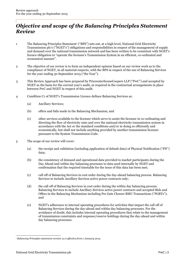### *Objective and scope of the Balancing Principles Statement Review*

- 1 The Balancing Principles Statement<sup>1</sup> ("BPS") sets out, at a high level, National Grid Electricity Transmission plc's ("NGET's") obligations and responsibilities in respect of the management of supply and demand over the national transmission network and has been written to be consistent with NGET's licence obligation to "operate the licensee's Transmission System in an efficient, co-ordinated and economical manner".
- 2 The objective of our review is to form an independent opinion based on our review work as to the compliance of NGET, in all material respects, with the BPS in respect of the use of Balancing Services for the year ending 30 September 2015 ("the Year").
- 3 This Review Approach has been prepared by PricewaterhouseCoopers LLP ("PwC") and accepted by NGET as the basis for the current year's audit, as required in the contractual arrangements in place between PwC and NGET in respect of this audit.
- 4 Condition C1 of NGET's Transmission Licence defines Balancing Services as:
	- (a) Ancillary Services;
	- (b) offers and bids made in the Balancing Mechanism; and
	- (c) other services available to the licensee which serve to assist the licensee in co-ordinating and directing the flow of electricity onto and over the national electricity transmission system in accordance with the Act or the standard conditions and/or in doing so efficiently and economically, but shall not include anything provided by another transmission licensee pursuant to the System Transmission Code.
- 5 The scope of our review will cover:
	- (a) the receipt and validation (including application of default data) of Physical Notification ("PN") data;
	- (b) the consistency of demand and operational data provided to market participants during the Day Ahead and within day balancing processes to data used internally by NGET and confirmation that the required timetable for the issue of this data has been met;
	- (c) call off of Balancing Services in cost order during the day-ahead balancing process. Balancing Services to include Ancillary Services active power contracts only;
	- (d) the call off of Balancing Services in cost order during the within day balancing process. Balancing Services to include Ancillary Services active power contracts and accepted Bids and Offers in the Balancing Mechanism including Pre Gate Closure BMU Transactions ("PGBTs"); and
	- (e) NGET's adherence to internal operating procedures for activities that impact the call off of Balancing Services during the day-ahead and within day balancing processes. For the avoidance of doubt, this includes internal operating procedures that relate to the management of transmission constraints and response/reserve holdings during the day-ahead and within day balancing processes.

<sup>1</sup> *Balancing Principles statement version 12.0 effective from 1 January 2014*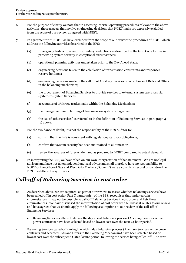- 6 For the purpose of clarity we note that in assessing internal operating procedures relevant to the above activities, those aspects that involve engineering decisions that NGET make are expressly excluded from the scope of our review, as agreed with NGET.
- 7 In agreement with NGET we have excluded from the scope of our review the procedures of NGET which address the following activities described in the BPS:
	- (a) Emergency Instructions and Involuntary Reductions as described in the Grid Code for use in preserving system security in exceptional circumstances;
	- (b) operational planning activities undertaken prior to the Day Ahead stage;
	- (c) engineering decisions taken in the calculation of transmission constraints and response/ reserve holdings;
	- (d) engineering decisions made in the call off of Ancillary Services or acceptance of Bids and Offers in the balancing mechanism;
	- (e) the procurement of Balancing Services to provide services to external system operators via System-to-System Services;
	- (f) acceptance of arbitrage trades made within the Balancing Mechanism;
	- (g) the management and planning of transmission system outages; and
	- (h) the use of 'other services' as referred to in the definition of Balancing Services in paragraph 4 (c) above.
- 8 For the avoidance of doubt, it is not the responsibility of the BPS Auditor to:
	- (a) confirm that the BPS is consistent with legislation/statutory obligations;
	- (b) confirm that system security has been maintained at all times; or
	- (c) review the accuracy of forecast demand as prepared by NGET compared to actual demand.
- 9 In interpreting the BPS, we have relied on our own interpretation of that statement. We are not legal advisors and have not taken independent legal advice and shall therefore have no responsibility to NGET or the Office of Gas and Electricity Markets ("Ofgem") were a court to interpret or construe the BPS in a different way from us.

### *Call-off of Balancing Services in cost order*

- 10 As described above, we are required, as part of our review, to assess whether Balancing Services have been called-off in cost order. Part C paragraph 5 of the BPS, recognises that under certain circumstances it may not be possible to call-off Balancing Services in cost order and lists these circumstances. We have discussed the interpretation of cost order with NGET as it relates to our review and have agreed that we should apply the following assumptions to our review of the call-off of Balancing Services:
	- Balancing Services called-off during the day ahead balancing process (Ancillary Services active power contracts) have been selected based on lowest cost over the next 24 hour period.
- 11 Balancing Services called-off during the within day balancing process (Ancillary Services active power contracts and accepted Bids and Offers in the Balancing Mechanism) have been selected based on lowest cost over the subsequent 'Gate Closure period' following the service being called-off. The term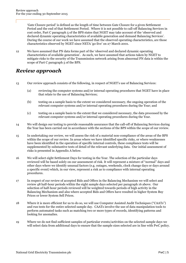'Gate Closure period' is defined as the length of time between Gate Closure for a given Settlement Period and the end of that Settlement Period. Where it is not possible to call-off Balancing Services in cost order, Part C paragraph 5 of the BPS states that NGET may take account of the 'observed and declared dynamic operating characteristics of available generation and demand Balancing Services'. During the course of our work we have assumed that the observed operating characteristics, are those characteristics observed by NGET since NETA 'go-live' on 27 March 2001.

12 We have assumed that PN data forms part of the 'observed and declared dynamic operating characteristics of available generation'. As such, we have assumed that actions taken by NGET to mitigate risks to the security of the Transmission network arising from abnormal PN data is within the scope of Part C paragraph 5 of the BPS.

## *Review approach*

- 13 Our review approach consists of the following, in respect of NGET's use of Balancing Services:
	- (a) reviewing the computer systems and/or internal operating procedures that NGET have in place that relate to the use of Balancing Services;
	- (b) testing on a sample basis to the extent we considered necessary, the ongoing operation of the relevant computer systems and/or internal operating procedures during the Year; and
	- (c) testing on a sample basis to the extent that we considered necessary, the data processed by the relevant computer systems and/or internal operating procedures during the Year.
- 14 We will design our testing to provide reasonable assurance that the call-off of Balancing Services during the Year has been carried out in accordance with the sections of the BPS within the scope of our review.
- 15 In undertaking our review, we will assess the risk of a material non-compliance of the areas of the BPS within the scope of our review. In areas where we have identified specific risks, or where weaknesses have been identified in the operation of specific internal controls, these compliance tests will be supplemented by substantive tests of detail of the relevant underlying data. Our initial assessment of risks is presented in Appendix A below.
- 16 We will select eight Settlement Days for testing in the Year. The selection of the particular days reviewed will be based solely on our assessment of risk. It will represent a mixture of "normal" days and other days where we identify unusual factors (e.g. outages, weekends, clock change days or days around a specific event) which, in our view, represent a risk as to compliance with internal operating procedures.
- 17 In respect of our review of accepted Bids and Offers in the Balancing Mechanism we will select and review 48 half-hour periods within the eight sample days selected per paragraph 16 above. Our selection of half-hour periods reviewed will be weighted towards periods of high activity in the Balancing Mechanism and also where accepted Bids and Offers have resulted in higher System Buy Prices or lower System Sell Prices.
- 18 Where it is more efficient for us to do so, we will use Computer Assisted Audit Techniques ("CAATs") and run tests for the entire selected sample day. CAATs involve the use of data manipulation tools to perform automated tasks such as matching two or more types of records, identifying patterns and looking for anomalies.
- 19 Where we do not find sufficient samples of particular events/activities on the selected sample days we will select data from additional days to ensure that the sample sizes selected are in line with PwC policy.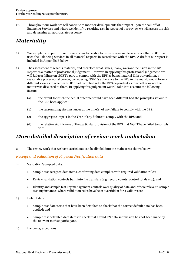20 Throughout our work, we will continue to monitor developments that impact upon the call-off of Balancing Services and where we identify a resulting risk in respect of our review we will assess the risk and determine an appropriate response.

# *Materiality*

- 21 We will plan and perform our review so as to be able to provide reasonable assurance that NGET has used the Balancing Services in all material respects in accordance with the BPS. A draft of our report is included in Appendix B below.
- 22 The assessment of what is material, and therefore what issues, if any, warrant inclusion in the BPS Report, is a matter of professional judgement. However, in applying this professional judgement, we will judge a failure on NGET's part to comply with the BPS as being material if, in our opinion, a reasonable professional person, considering NGET's adherence to the BPS in the round, would form a different view as to whether NGET had complied with the BPS dependent as to whether or not the matter was disclosed to them. In applying this judgement we will take into account the following factors:
	- (a) the extent to which the actual outcome would have been different had the principles set out in the BPS been applied;
	- (b) the surrounding circumstances at the time(s) of any failure to comply with the BPS;
	- (c) the aggregate impact in the Year of any failure to comply with the BPS; and
	- (d) the relative significance of the particular provision of the BPS that NGET have failed to comply with.

## *More detailed description of review work undertaken*

23 The review work that we have carried out can be divided into the main areas shown below.

### *Receipt and validation of Physical Notification data*

- 24 Validation/accepted data:
	- Sample test accepted data items, confirming data complies with required validation rules;
	- Review validation controls built into file transfers (e.g. record counts, control totals etc.); and
	- Identify and sample test key management controls over quality of data and, where relevant, sample test any instances where validation rules have been overridden for a valid reason.
- 25 Default data:
	- Sample test data items that have been defaulted to check that the correct default data has been applied; and
	- Sample test defaulted data items to check that a valid PN data submission has not been made by the relevant market participant.
- 26 Incidents/exceptions: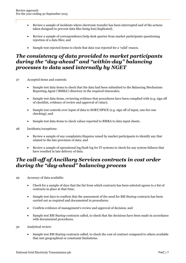- Review a sample of incidents where electronic transfer has been interrupted and of the actions taken designed to prevent data files being lost/duplicated;
- Review a sample of correspondence/help desk queries from market participants questioning rejection of a data files; and
- Sample test rejected items to check that data was rejected for a 'valid' reason.

### *The consistency of data provided to market participants during the "day-ahead" and "within-day" balancing processes to data used internally by NGET*

- 27 Accepted items and controls:
	- Sample test data items to check that the data had been submitted to the Balancing Mechanism Reporting Agent ('BMRA') directory in the required timescales;
	- Sample test data items, reviewing evidence that procedures have been complied with (e.g. sign off of checklist, evidence of review and approval of value);
	- Sample test controls over input of data to SORT/SPICE (e.g. sign off of input, one-for-one checking); and
	- Sample test data items to check values reported to BMRA to data input sheets.
- 28 Incidents/exceptions:
	- Review a sample of any complaints/disputes raised by market participants to identify any that related to the late provision of data; and
	- Review a sample of operational log/fault log for IT systems to check for any system failures that have resulted in late delivery of data.

### *The call-off of Ancillary Services contracts in cost order during the "day-ahead" balancing process*

- 29 Accuracy of data available:
	- Check for a sample of days that the list from which contracts has been selected agrees to a list of contracts in place at that time;
	- Sample test days to confirm that the assessment of the need for BM Startup contracts has been carried out as required and documented in procedures;
	- Confirm evidence of management's review and approval of decision; and
	- Sample test BM Startup contracts called, to check that the decisions have been made in accordance with documented procedures.
- 30 Analytical review:
	- Sample test BM Startup contracts called, to check the cost of contract compared to others available that met geographical or constraint limitations.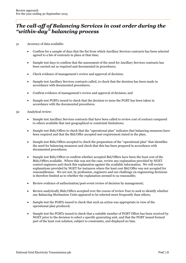### *The call-off of Balancing Services in cost order during the "within-day" balancing process*

- 31 Accuracy of data available:
	- Confirm for a sample of days that the list from which Ancillary Services contracts has been selected agreed to a list of contracts in place at that time;
	- Sample test days to confirm that the assessment of the need for Ancillary Services contracts has been carried out as required and documented in procedures;
	- Check evidence of management's review and approval of decision;
	- Sample test Ancillary Services contracts called, to check that the decision has been made in accordance with documented procedures;
	- Confirm evidence of management's review and approval of decision; and
	- Sample test PGBTs issued to check that the decision to issue the PGBT has been taken in accordance with the documented procedures.
- 32 Analytical review:
	- Sample test Ancillary Services contracts that have been called to review cost of contract compared to others available that met geographical or constraint limitations;
	- Sample test Bids/Offers to check that the "operational plan" indicates that balancing measures have been required and that the Bid/Offer accepted met requirement stated in the plan;
	- Sample test Bids/Offers accepted to check the preparation of the "operational plan" that identifies the need for balancing measures and check that this has been prepared in accordance with documented procedures;
	- Sample test Bids/Offers to confirm whether accepted Bid/Offers have been the least cost of the Bids/Offers available. Where this was not the case, review any explanation provided by NGET control engineers and check this explanation against the available information. We will review explanations provided by NGET for instances where the least cost Bid/Offer was not accepted for reasonableness. We are not, by profession, engineers and our challenge on engineering decisions is therefore limited as to whether the explanation seemed to us reasonable;
	- Review evidence of authorisation/post-event review of decision by management;
	- Review analytically Bids/Offers accepted over the course of review Year to seek to identify whether any Balancing Mechanism Units appeared to be selected more frequently than others;
	- Sample test the PGBTs issued to check that such an action was appropriate in view of the operational plan produced;
	- Sample test the PGBTs issued to check that a suitable number of PGBT Offers has been received by NGET prior to the decision to select a specific generating unit, and that the PGBT issued formed part of the least cost solution, subject to constraints, and displayed no bias.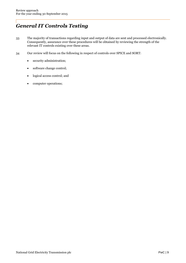# *General IT Controls Testing*

- 33 The majority of transactions regarding input and output of data are sent and processed electronically. Consequently, assurance over these procedures will be obtained by reviewing the strength of the relevant IT controls existing over these areas.
- 34 Our review will focus on the following in respect of controls over SPICE and SORT:
	- security administration;
	- software change control;
	- logical access control; and
	- computer operations;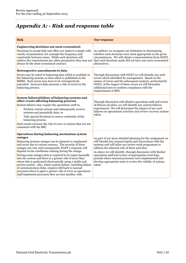# *Appendix A: - Risk and response table*

| <b>Risk</b>                                                                                                                                                                                                                                                                                                                                                                                                                                                                                                                                                                                                                                                                                                                              | <b>Our response</b>                                                                                                                                                                                                                                                                                                                                                                                                                                                                       |
|------------------------------------------------------------------------------------------------------------------------------------------------------------------------------------------------------------------------------------------------------------------------------------------------------------------------------------------------------------------------------------------------------------------------------------------------------------------------------------------------------------------------------------------------------------------------------------------------------------------------------------------------------------------------------------------------------------------------------------------|-------------------------------------------------------------------------------------------------------------------------------------------------------------------------------------------------------------------------------------------------------------------------------------------------------------------------------------------------------------------------------------------------------------------------------------------------------------------------------------------|
| <b>Engineering decisions not most economical:</b><br>Decisions to accept bids and offers are made to comply with<br>variety of parameters, for example the frequency and<br>constraints between zones. While such decisions will<br>achieve the requirements per other parameters they may not<br>always be the most economical contract.                                                                                                                                                                                                                                                                                                                                                                                                | As auditors we recognise our limitation in determining<br>whether such decisions were most appropriate in the given<br>circumstances. We will obtain a representation from NGET<br>that such decisions made did not have any more economical<br>alternatives.                                                                                                                                                                                                                             |
| Retrospective amendments to data<br>Errors may be noted in balancing data which is available in<br>the balancing systems or data which is published on the<br>BMRS. Such errors may have to be retrospectively<br>amended. Incorrect data presents a risk of errors in the<br>balancing process.                                                                                                                                                                                                                                                                                                                                                                                                                                         | Through discussions with NGET we will identify any such<br>errors which identified by management. Based on the<br>nature of errors and the subsequent analysis, performed by<br>NGET, of the impact of these errors we will formulate<br>additional tests to confirm compliance with the<br>requirements of BPS.                                                                                                                                                                          |
| System failures (failure of balancing systems and<br>other events affecting balancing process)<br>System failures may require the operations staff to:<br>Perform certain actions and subsequently recover<br>systems and potentially data; or<br>Take special decisions to ensure continuity of the<br>balancing process.<br>Such events increase the risk of error or actions that are not<br>consistent with the BSC.                                                                                                                                                                                                                                                                                                                 | Through discussion with Market operations staff and review<br>of Elexon circulars, we will identify any system failures<br>experienced. We will determine the impact of any such<br>failures on operational activities and review recovery actions<br>taken.                                                                                                                                                                                                                              |
| Operations during balancing mechanism system<br>outages<br>Balancing systems outages can be planned or unplanned<br>and occur due to various reasons. The severity of these<br>outages can vary and consequently NGET's response will<br>depend on the conditions existing during the outage.<br>During some outages data is required to be input manually<br>into the system and there is a greater risk of error than<br>where this is performed electronically using a stable and<br>proven system. Also, where system failure, including failure<br>of communication links, requires fall back to manual<br>processes there is again a greater risk of error as operations<br>staff implement processes they are less familiar with. | As part of our more detailed planning for the assignment we<br>will identify key manual inputs and interactions with the<br>systems and will tailor our review work programme to<br>address the inherent risk of these activities.<br>As above we will identify, through discussion with Market<br>operations staff and review of appropriate event logs,<br>periods where manual processes were implemented and<br>develop appropriate tests to review the validity of actions<br>taken. |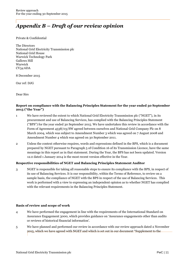# *Appendix B – Draft of our review opinion*

#### Private & Confidential

The Directors National Grid Electricity Transmission plc National Grid House Warwick Technology Park Gallows Hill Warwick CV34 6DA

8 December 2015

Our ref: DJG

Dear Sirs

### **Report on compliance with the Balancing Principles Statement for the year ended 30 September 2015 ("the Year")**

- 1 We have reviewed the extent to which National Grid Electricity Transmission plc ("NGET"), in its procurement and use of Balancing Services, has complied with the Balancing Principles Statement ("BPS") for the year ended 30 September 2015. We have undertaken this review in accordance with the Form of Agreement 4538/03/SW agreed between ourselves and National Grid Company Plc on 8 March 2004, which was subject to Amendment Number 3 which was agreed on 7 August 2008 and Amendment Number 4 which was agreed on 30 September 2011.
- 2 Unless the context otherwise requires, words and expressions defined in the BPS, which is a document prepared by NGET pursuant to Paragraph 5 of Condition 16 of its Transmission Licence, have the same meanings in this report as in that statement. During the Year, the BPS has not been updated. Version 12.0 dated 1 January 2014 is the most recent version effective in the Year.

### **Respective responsibilities of NGET and Balancing Principles Statement Auditor**

3 NGET is responsible for taking all reasonable steps to ensure its compliance with the BPS, in respect of its use of Balancing Services. It is our responsibility, within the Terms of Reference, to review on a sample basis, the compliance of NGET with the BPS in respect of the use of Balancing Services. This work is performed with a view to expressing an independent opinion as to whether NGET has complied with the relevant requirements in the Balancing Principles Statement.

#### **Basis of review and scope of work**

- 4 We have performed the engagement in line with the requirements of the International Standard on Assurance Engagement 3000, which provides guidance on 'Assurance engagements other than audits or reviews of historical financial information'.
- 5 We have planned and performed our review in accordance with our review approach dated 2 November 2015, which we have agreed with NGET and which is set out in our document "Supplement to the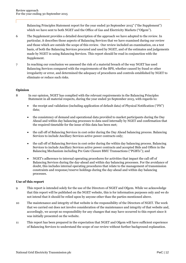Balancing Principles Statement report for the year ended 30 September 2015" ("the Supplement") which we have sent to both NGET and the Office of Gas and Electricity Markets ("Ofgem").

- 6 The Supplement provides a detailed description of the approach we have adopted to the review. In particular, it describes those aspects of Balancing Services that we have examined during our review and those which are outside the scope of this review. Our review included an examination, on a test basis, of both the Balancing Services procured and used by NGET, and of the estimates and judgements made by NGET in using Balancing Services. This report should be read in conjunction with the Supplement.
- 7 In reaching our conclusion we assessed the risk of a material breach of the way NGET has used Balancing Services compared with the requirements of the BPS, whether caused by fraud or other irregularity or error, and determined the adequacy of procedures and controls established by NGET to eliminate or reduce such risks.

### **Opinion**

- 8 In our opinion, NGET has complied with the relevant requirements in the Balancing Principles Statement in all material respects, during the year ended 30 September 2015, with regards to:
	- the receipt and validation (including application of default data) of Physical Notification ("PN") data;
	- the consistency of demand and operational data provided to market participants during the Day Ahead and within day balancing processes to data used internally by NGET and confirmation that the required timetable for the issue of this data has been met;
	- the call off of Balancing Services in cost order during the Day Ahead balancing process. Balancing Services to include Ancillary Services active power contracts only;
	- the call off of Balancing Services in cost order during the within day balancing process. Balancing Services to include Ancillary Services active power contracts and accepted Bids and Offers in the Balancing Mechanism including Pre Gate Closure BMU Transactions ("PGBTs"); and
	- NGET's adherence to internal operating procedures for activities that impact the call off of Balancing Services during the day-ahead and within day balancing processes. For the avoidance of doubt, this includes internal operating procedures that relate to the management of transmission constraints and response/reserve holdings during the day-ahead and within day balancing processes.

#### **Use of this report**

- 9 This report is intended solely for the use of the Directors of NGET and Ofgem. While we acknowledge that this report will be published on the NGET website, this is for information purposes only and we do not intend that it should be relied upon by anyone other than the parties mentioned above.
- 10 The maintenance and integrity of that website is the responsibility of the Directors of NGET. The work that we carried out does not involve consideration of the maintenance and integrity of that website and, accordingly, we accept no responsibility for any changes that may have occurred to this report since it was initially presented on the website.
- 11 This report has been prepared in the expectation that NGET and Ofgem will have sufficient experience of Balancing Services to understand the scope of our review without further background explanation.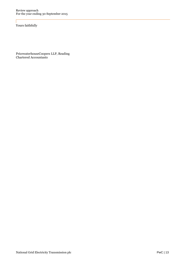Yours faithfully

PricewaterhouseCoopers LLP, Reading Chartered Accountants